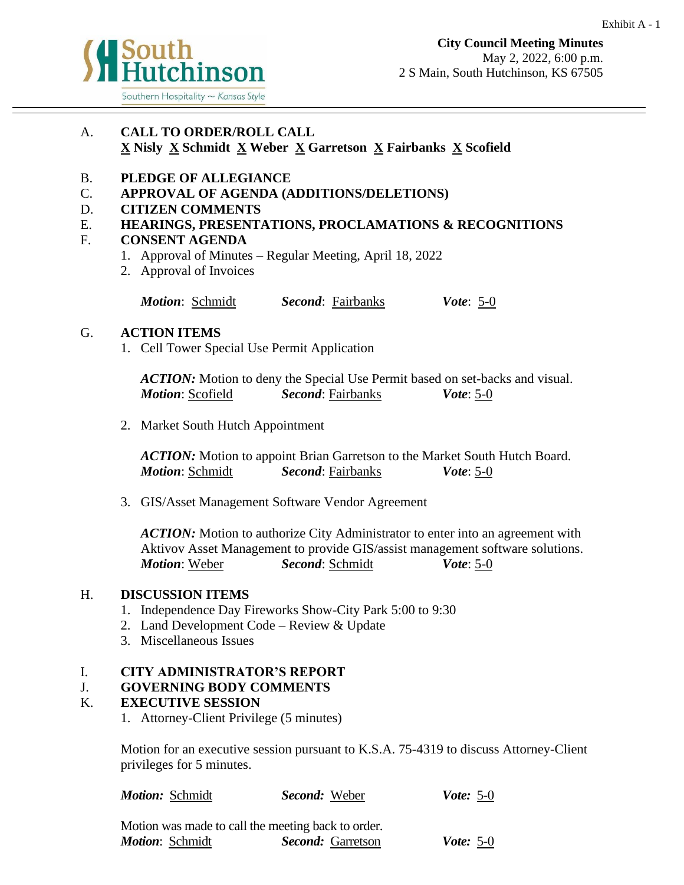

## A. **CALL TO ORDER/ROLL CALL X Nisly X Schmidt X Weber X Garretson X Fairbanks X Scofield**

# B. **PLEDGE OF ALLEGIANCE**

- C. **APPROVAL OF AGENDA (ADDITIONS/DELETIONS)**
- D. **CITIZEN COMMENTS**
- E. **HEARINGS, PRESENTATIONS, PROCLAMATIONS & RECOGNITIONS**

### F. **CONSENT AGENDA**

- 1. Approval of Minutes Regular Meeting, April 18, 2022
- 2. Approval of Invoices

*Motion*: Schmidt *Second*: Fairbanks *Vote*: 5-0

### G. **ACTION ITEMS**

1. Cell Tower Special Use Permit Application

*ACTION:* Motion to deny the Special Use Permit based on set-backs and visual. *Motion*: Scofield *Second*: Fairbanks *Vote*: 5-0

2. Market South Hutch Appointment

*ACTION:* Motion to appoint Brian Garretson to the Market South Hutch Board. *Motion*: Schmidt *Second*: Fairbanks *Vote*: 5-0

3. GIS/Asset Management Software Vendor Agreement

*ACTION:* Motion to authorize City Administrator to enter into an agreement with Aktivov Asset Management to provide GIS/assist management software solutions. *Motion*: Weber *Second*: Schmidt *Vote*: 5-0

#### H. **DISCUSSION ITEMS**

- 1. Independence Day Fireworks Show-City Park 5:00 to 9:30
- 2. Land Development Code Review & Update
- 3. Miscellaneous Issues

## I. **CITY ADMINISTRATOR'S REPORT**

## J. **GOVERNING BODY COMMENTS**

## K. **EXECUTIVE SESSION**

1. Attorney-Client Privilege (5 minutes)

Motion for an executive session pursuant to K.S.A. 75-4319 to discuss Attorney-Client privileges for 5 minutes.

| <b>Motion: Schmidt</b> | Second: Weber                                      | <b><i>Vote:</i></b> 5-0 |
|------------------------|----------------------------------------------------|-------------------------|
|                        | Motion was made to call the meeting back to order. |                         |
| <i>Motion: Schmidt</i> | <b>Second:</b> Garretson                           | <i>Vote</i> : 5-0       |